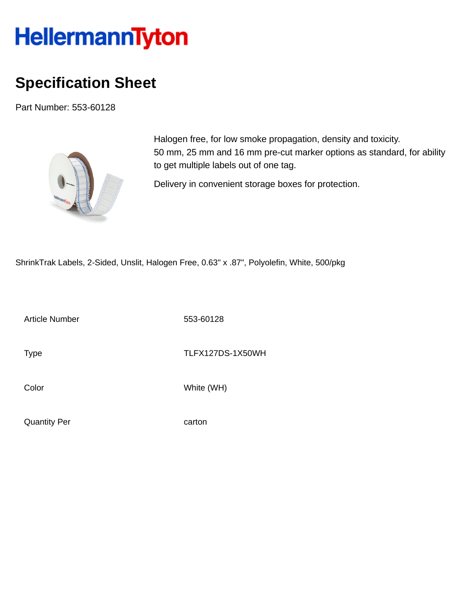## **HellermannTyton**

## **Specification Sheet**

Part Number: 553-60128



Halogen free, for low smoke propagation, density and toxicity. 50 mm, 25 mm and 16 mm pre-cut marker options as standard, for ability to get multiple labels out of one tag.

Delivery in convenient storage boxes for protection.

ShrinkTrak Labels, 2-Sided, Unslit, Halogen Free, 0.63" x .87", Polyolefin, White, 500/pkg

Article Number 553-60128

Type TLFX127DS-1X50WH

Color White (WH)

Quantity Per carton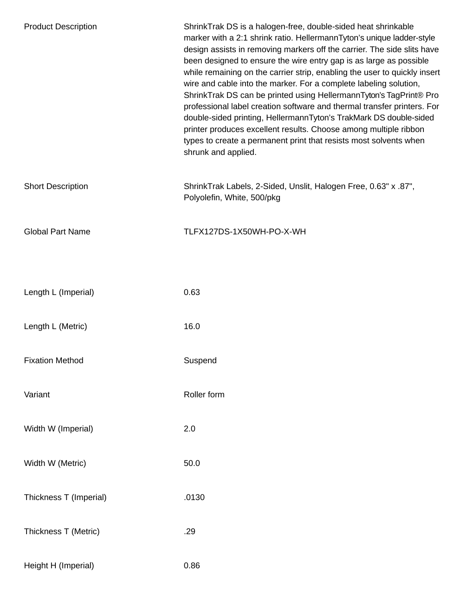| <b>Product Description</b> | ShrinkTrak DS is a halogen-free, double-sided heat shrinkable<br>marker with a 2:1 shrink ratio. HellermannTyton's unique ladder-style<br>design assists in removing markers off the carrier. The side slits have<br>been designed to ensure the wire entry gap is as large as possible<br>while remaining on the carrier strip, enabling the user to quickly insert<br>wire and cable into the marker. For a complete labeling solution,<br>ShrinkTrak DS can be printed using HellermannTyton's TagPrint® Pro<br>professional label creation software and thermal transfer printers. For<br>double-sided printing, HellermannTyton's TrakMark DS double-sided<br>printer produces excellent results. Choose among multiple ribbon<br>types to create a permanent print that resists most solvents when<br>shrunk and applied. |
|----------------------------|---------------------------------------------------------------------------------------------------------------------------------------------------------------------------------------------------------------------------------------------------------------------------------------------------------------------------------------------------------------------------------------------------------------------------------------------------------------------------------------------------------------------------------------------------------------------------------------------------------------------------------------------------------------------------------------------------------------------------------------------------------------------------------------------------------------------------------|
| <b>Short Description</b>   | ShrinkTrak Labels, 2-Sided, Unslit, Halogen Free, 0.63" x .87",<br>Polyolefin, White, 500/pkg                                                                                                                                                                                                                                                                                                                                                                                                                                                                                                                                                                                                                                                                                                                                   |
| <b>Global Part Name</b>    | TLFX127DS-1X50WH-PO-X-WH                                                                                                                                                                                                                                                                                                                                                                                                                                                                                                                                                                                                                                                                                                                                                                                                        |
|                            |                                                                                                                                                                                                                                                                                                                                                                                                                                                                                                                                                                                                                                                                                                                                                                                                                                 |
| Length L (Imperial)        | 0.63                                                                                                                                                                                                                                                                                                                                                                                                                                                                                                                                                                                                                                                                                                                                                                                                                            |
| Length L (Metric)          | 16.0                                                                                                                                                                                                                                                                                                                                                                                                                                                                                                                                                                                                                                                                                                                                                                                                                            |
| <b>Fixation Method</b>     | Suspend                                                                                                                                                                                                                                                                                                                                                                                                                                                                                                                                                                                                                                                                                                                                                                                                                         |
| Variant                    | Roller form                                                                                                                                                                                                                                                                                                                                                                                                                                                                                                                                                                                                                                                                                                                                                                                                                     |
| Width W (Imperial)         | 2.0                                                                                                                                                                                                                                                                                                                                                                                                                                                                                                                                                                                                                                                                                                                                                                                                                             |
| Width W (Metric)           | 50.0                                                                                                                                                                                                                                                                                                                                                                                                                                                                                                                                                                                                                                                                                                                                                                                                                            |
| Thickness T (Imperial)     | .0130                                                                                                                                                                                                                                                                                                                                                                                                                                                                                                                                                                                                                                                                                                                                                                                                                           |
| Thickness T (Metric)       | .29                                                                                                                                                                                                                                                                                                                                                                                                                                                                                                                                                                                                                                                                                                                                                                                                                             |
| Height H (Imperial)        | 0.86                                                                                                                                                                                                                                                                                                                                                                                                                                                                                                                                                                                                                                                                                                                                                                                                                            |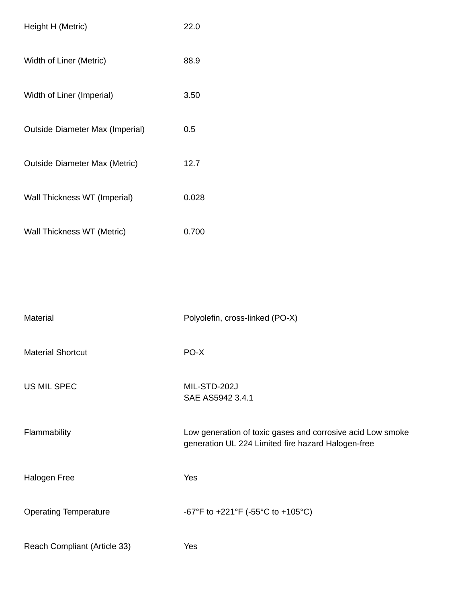| Height H (Metric)                      | 22.0  |
|----------------------------------------|-------|
| Width of Liner (Metric)                | 88.9  |
| Width of Liner (Imperial)              | 3.50  |
| <b>Outside Diameter Max (Imperial)</b> | 0.5   |
| <b>Outside Diameter Max (Metric)</b>   | 12.7  |
| Wall Thickness WT (Imperial)           | 0.028 |
| Wall Thickness WT (Metric)             | 0.700 |

| <b>Material</b>              | Polyolefin, cross-linked (PO-X)                                                                                  |
|------------------------------|------------------------------------------------------------------------------------------------------------------|
| <b>Material Shortcut</b>     | PO-X                                                                                                             |
| <b>US MIL SPEC</b>           | MIL-STD-202J<br>SAE AS5942 3.4.1                                                                                 |
| Flammability                 | Low generation of toxic gases and corrosive acid Low smoke<br>generation UL 224 Limited fire hazard Halogen-free |
| Halogen Free                 | Yes                                                                                                              |
| <b>Operating Temperature</b> | -67°F to +221°F (-55°C to +105°C)                                                                                |
| Reach Compliant (Article 33) | Yes                                                                                                              |